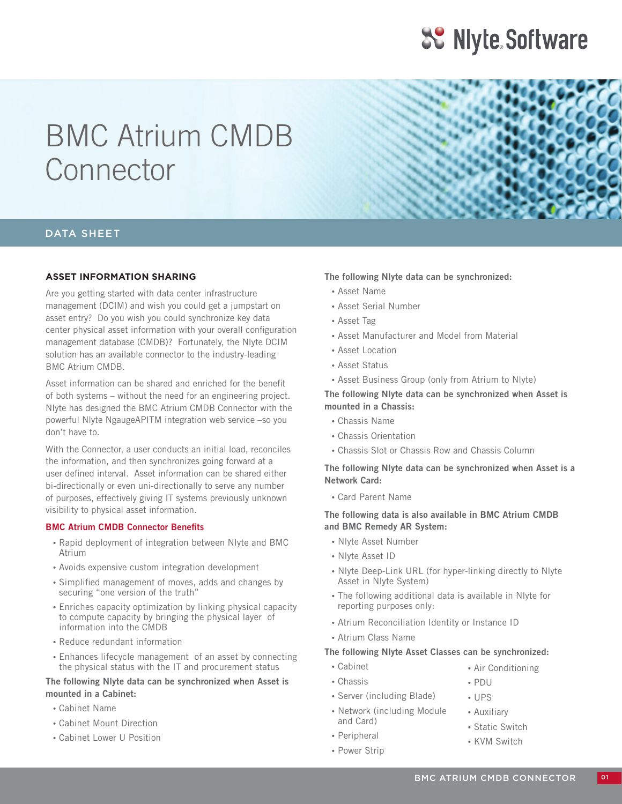## **SS Niyte Software**

# BMC Atrium CMDB Connector

### DATA SHEET

### **ASSET INFORMATION SHARING**

Are you getting started with data center infrastructure management (DCIM) and wish you could get a jumpstart on asset entry? Do you wish you could synchronize key data center physical asset information with your overall configuration management database (CMDB)? Fortunately, the Nlyte DCIM solution has an available connector to the industry-leading BMC Atrium CMDB.

Asset information can be shared and enriched for the benefit of both systems – without the need for an engineering project. Nlyte has designed the BMC Atrium CMDB Connector with the powerful Nlyte NgaugeAPITM integration web service –so you don't have to.

With the Connector, a user conducts an initial load, reconciles the information, and then synchronizes going forward at a user defined interval. Asset information can be shared either bi-directionally or even uni-directionally to serve any number of purposes, effectively giving IT systems previously unknown visibility to physical asset information.

#### **BMC Atrium CMDB Connector Benefits**

- •Rapid deployment of integration between Nlyte and BMC Atrium
- •Avoids expensive custom integration development
- •Simplified management of moves, adds and changes by securing "one version of the truth"
- •Enriches capacity optimization by linking physical capacity to compute capacity by bringing the physical layer of information into the CMDB
- •Reduce redundant information
- •Enhances lifecycle management of an asset by connecting the physical status with the IT and procurement status

### **The following Nlyte data can be synchronized when Asset is mounted in a Cabinet:**

- •Cabinet Name
- •Cabinet Mount Direction
- •Cabinet Lower U Position

#### **The following Nlyte data can be synchronized:**

- •Asset Name
- •Asset Serial Number
- •Asset Tag
- •Asset Manufacturer and Model from Material
- •Asset Location
- •Asset Status
- •Asset Business Group (only from Atrium to Nlyte)

**The following Nlyte data can be synchronized when Asset is mounted in a Chassis:**

- •Chassis Name
- •Chassis Orientation
- •Chassis Slot or Chassis Row and Chassis Column

**The following Nlyte data can be synchronized when Asset is a Network Card:**

•Card Parent Name

**The following data is also available in BMC Atrium CMDB and BMC Remedy AR System:**

- •Nlyte Asset Number
- •Nlyte Asset ID
- •Nlyte Deep-Link URL (for hyper-linking directly to Nlyte Asset in Nlyte System)
- •The following additional data is available in Nlyte for reporting purposes only:
- •Atrium Reconciliation Identity or Instance ID
- •Atrium Class Name

### **The following Nlyte Asset Classes can be synchronized:**

- •Cabinet
- •Chassis
- •Server (including Blade)
- •Network (including Module and Card)
- •Peripheral
- Power Strip
- •Air Conditioning
- •PDU •UPS
- 
- •Auxiliary
- •Static Switch
- •KVM Switch